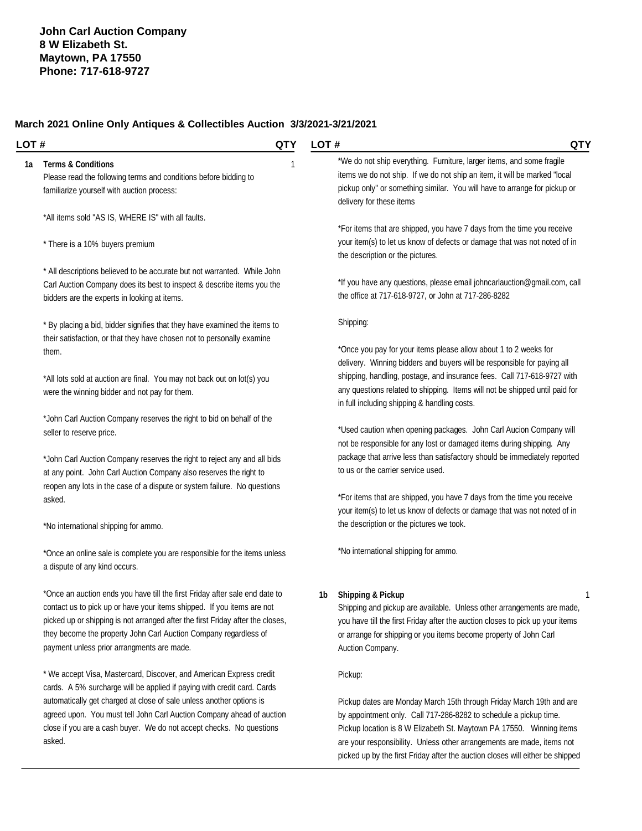#### **March 2021 Online Only Antiques & Collectibles Auction 3/3/2021-3/21/2021**

#### **LOT # QTY**

#### **LOT # QTY**

Please read the following terms and conditions before bidding to familiarize yourself with auction process: **1a Terms & Conditions** 1

\*All items sold "AS IS, WHERE IS" with all faults.

\* There is a 10% buyers premium

\* All descriptions believed to be accurate but not warranted. While John Carl Auction Company does its best to inspect & describe items you the bidders are the experts in looking at items.

\* By placing a bid, bidder signifies that they have examined the items to their satisfaction, or that they have chosen not to personally examine them.

\*All lots sold at auction are final. You may not back out on lot(s) you were the winning bidder and not pay for them.

\*John Carl Auction Company reserves the right to bid on behalf of the seller to reserve price.

\*John Carl Auction Company reserves the right to reject any and all bids at any point. John Carl Auction Company also reserves the right to reopen any lots in the case of a dispute or system failure. No questions asked.

\*No international shipping for ammo.

\*Once an online sale is complete you are responsible for the items unless a dispute of any kind occurs.

\*Once an auction ends you have till the first Friday after sale end date to contact us to pick up or have your items shipped. If you items are not picked up or shipping is not arranged after the first Friday after the closes, they become the property John Carl Auction Company regardless of payment unless prior arrangments are made.

\* We accept Visa, Mastercard, Discover, and American Express credit cards. A 5% surcharge will be applied if paying with credit card. Cards automatically get charged at close of sale unless another options is agreed upon. You must tell John Carl Auction Company ahead of auction close if you are a cash buyer. We do not accept checks. No questions asked.

\*We do not ship everything. Furniture, larger items, and some fragile items we do not ship. If we do not ship an item, it will be marked "local pickup only" or something similar. You will have to arrange for pickup or delivery for these items

\*For items that are shipped, you have 7 days from the time you receive your item(s) to let us know of defects or damage that was not noted of in the description or the pictures.

\*If you have any questions, please email [johncarlauction@gmail.com,](mailto:johncarlauction@gmail.com,) call the office at 717-618-9727, or John at 717-286-8282

#### Shipping:

\*Once you pay for your items please allow about 1 to 2 weeks for delivery. Winning bidders and buyers will be responsible for paying all shipping, handling, postage, and insurance fees. Call 717-618-9727 with any questions related to shipping. Items will not be shipped until paid for in full including shipping & handling costs.

\*Used caution when opening packages. John Carl Aucion Company will not be responsible for any lost or damaged items during shipping. Any package that arrive less than satisfactory should be immediately reported to us or the carrier service used.

\*For items that are shipped, you have 7 days from the time you receive your item(s) to let us know of defects or damage that was not noted of in the description or the pictures we took.

\*No international shipping for ammo.

#### **1b Shipping & Pickup** 1

Shipping and pickup are available. Unless other arrangements are made, you have till the first Friday after the auction closes to pick up your items or arrange for shipping or you items become property of John Carl Auction Company.

Pickup:

Pickup dates are Monday March 15th through Friday March 19th and are by appointment only. Call 717-286-8282 to schedule a pickup time. Pickup location is 8 W Elizabeth St. Maytown PA 17550. Winning items are your responsibility. Unless other arrangements are made, items not picked up by the first Friday after the auction closes will either be shipped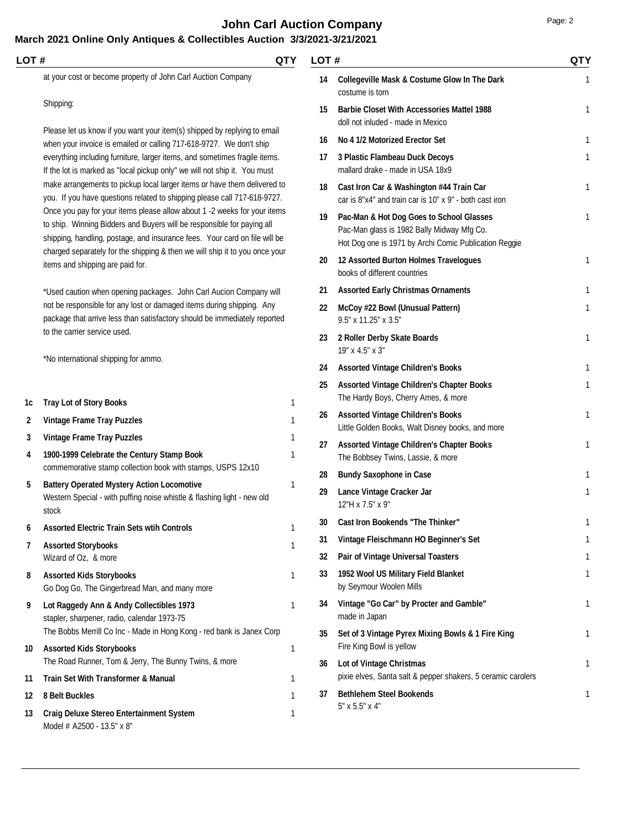# **John Carl Auction Company Page: 2 Page: 2**

| LOT# |                                                                                                                                                                                                                                                                                                                 | QTY          | LOT# |                                                                                                                                                 | QTY |
|------|-----------------------------------------------------------------------------------------------------------------------------------------------------------------------------------------------------------------------------------------------------------------------------------------------------------------|--------------|------|-------------------------------------------------------------------------------------------------------------------------------------------------|-----|
|      | at your cost or become property of John Carl Auction Company                                                                                                                                                                                                                                                    |              | 14   | Collegeville Mask & Costume Glow In The Dark<br>costume is torn                                                                                 | 1   |
|      | Shipping:                                                                                                                                                                                                                                                                                                       |              | 15   | <b>Barbie Closet With Accessories Mattel 1988</b><br>doll not inluded - made in Mexico                                                          | 1   |
|      | Please let us know if you want your item(s) shipped by replying to email<br>when your invoice is emailed or calling 717-618-9727. We don't ship                                                                                                                                                                 |              | 16   | No 4 1/2 Motorized Erector Set                                                                                                                  | 1   |
|      | everything including furniture, larger items, and sometimes fragile items.<br>If the lot is marked as "local pickup only" we will not ship it. You must                                                                                                                                                         |              | 17   | 3 Plastic Flambeau Duck Decoys<br>mallard drake - made in USA 18x9                                                                              | 1   |
|      | make arrangements to pickup local larger items or have them delivered to<br>you. If you have questions related to shipping please call 717-618-9727.                                                                                                                                                            |              | 18   | Cast Iron Car & Washington #44 Train Car<br>car is 8"x4" and train car is 10" x 9" - both cast iron                                             | 1   |
|      | Once you pay for your items please allow about 1 -2 weeks for your items<br>to ship. Winning Bidders and Buyers will be responsible for paying all<br>shipping, handling, postage, and insurance fees. Your card on file will be<br>charged separately for the shipping & then we will ship it to you once your |              | 19   | Pac-Man & Hot Dog Goes to School Glasses<br>Pac-Man glass is 1982 Bally Midway Mfg Co.<br>Hot Dog one is 1971 by Archi Comic Publication Reggie | 1   |
|      | items and shipping are paid for.                                                                                                                                                                                                                                                                                |              | 20   | 12 Assorted Burton Holmes Travelogues<br>books of different countries                                                                           | 1   |
|      | *Used caution when opening packages. John Carl Aucion Company will                                                                                                                                                                                                                                              |              | 21   | <b>Assorted Early Christmas Ornaments</b>                                                                                                       |     |
|      | not be responsible for any lost or damaged items during shipping. Any<br>package that arrive less than satisfactory should be immediately reported                                                                                                                                                              |              | 22   | McCoy #22 Bowl (Unusual Pattern)<br>9.5" x 11.25" x 3.5"                                                                                        | 1   |
|      | to the carrier service used.                                                                                                                                                                                                                                                                                    |              | 23   | 2 Roller Derby Skate Boards<br>19" x 4.5" x 3"                                                                                                  | 1   |
|      | *No international shipping for ammo.                                                                                                                                                                                                                                                                            |              | 24   | <b>Assorted Vintage Children's Books</b>                                                                                                        | 1   |
| 1c   | <b>Tray Lot of Story Books</b>                                                                                                                                                                                                                                                                                  | 1            | 25   | <b>Assorted Vintage Children's Chapter Books</b><br>The Hardy Boys, Cherry Ames, & more                                                         | 1   |
| 2    | <b>Vintage Frame Tray Puzzles</b>                                                                                                                                                                                                                                                                               | 1            | 26   | <b>Assorted Vintage Children's Books</b>                                                                                                        | 1   |
| 3    | <b>Vintage Frame Tray Puzzles</b>                                                                                                                                                                                                                                                                               | 1            |      | Little Golden Books, Walt Disney books, and more                                                                                                |     |
| 4    | 1900-1999 Celebrate the Century Stamp Book<br>commemorative stamp collection book with stamps, USPS 12x10                                                                                                                                                                                                       |              | 27   | <b>Assorted Vintage Children's Chapter Books</b><br>The Bobbsey Twins, Lassie, & more                                                           | 1   |
| 5    | <b>Battery Operated Mystery Action Locomotive</b>                                                                                                                                                                                                                                                               | 1            | 28   | <b>Bundy Saxophone in Case</b>                                                                                                                  | 1   |
|      | Western Special - with puffing noise whistle & flashing light - new old<br>stock                                                                                                                                                                                                                                |              | 29   | Lance Vintage Cracker Jar<br>12"H x 7.5" x 9"                                                                                                   | 1   |
| 6    | <b>Assorted Electric Train Sets wtih Controls</b>                                                                                                                                                                                                                                                               | 1            | 30   | Cast Iron Bookends "The Thinker"                                                                                                                | 1   |
| 7    | <b>Assorted Storybooks</b>                                                                                                                                                                                                                                                                                      | 1            | 31   | Vintage Fleischmann HO Beginner's Set                                                                                                           |     |
|      | Wizard of Oz, & more                                                                                                                                                                                                                                                                                            |              | 32   | <b>Pair of Vintage Universal Toasters</b>                                                                                                       |     |
| 8    | <b>Assorted Kids Storybooks</b><br>Go Dog Go, The Gingerbread Man, and many more                                                                                                                                                                                                                                | $\mathbf{1}$ | 33   | 1952 Wool US Military Field Blanket<br>by Seymour Woolen Mills                                                                                  |     |
| 9    | Lot Raggedy Ann & Andy Collectibles 1973<br>stapler, sharpener, radio, calendar 1973-75                                                                                                                                                                                                                         | $\mathbf{1}$ | 34   | Vintage "Go Car" by Procter and Gamble"<br>made in Japan                                                                                        | 1   |
| 10   | The Bobbs Merrill Co Inc - Made in Hong Kong - red bank is Janex Corp<br><b>Assorted Kids Storybooks</b>                                                                                                                                                                                                        | 1            | 35   | Set of 3 Vintage Pyrex Mixing Bowls & 1 Fire King<br>Fire King Bowl is yellow                                                                   | 1   |
|      | The Road Runner, Tom & Jerry, The Bunny Twins, & more                                                                                                                                                                                                                                                           |              | 36   | <b>Lot of Vintage Christmas</b>                                                                                                                 | 1   |
| 11   | Train Set With Transformer & Manual                                                                                                                                                                                                                                                                             | $\mathbf{1}$ |      | pixie elves, Santa salt & pepper shakers, 5 ceramic carolers                                                                                    |     |
| 12   | <b>8 Belt Buckles</b>                                                                                                                                                                                                                                                                                           | 1            | 37   | <b>Bethlehem Steel Bookends</b><br>5" x 5.5" x 4"                                                                                               | 1   |
| 13   | <b>Craig Deluxe Stereo Entertainment System</b><br>Model # A2500 - 13.5" x 8"                                                                                                                                                                                                                                   | 1            |      |                                                                                                                                                 |     |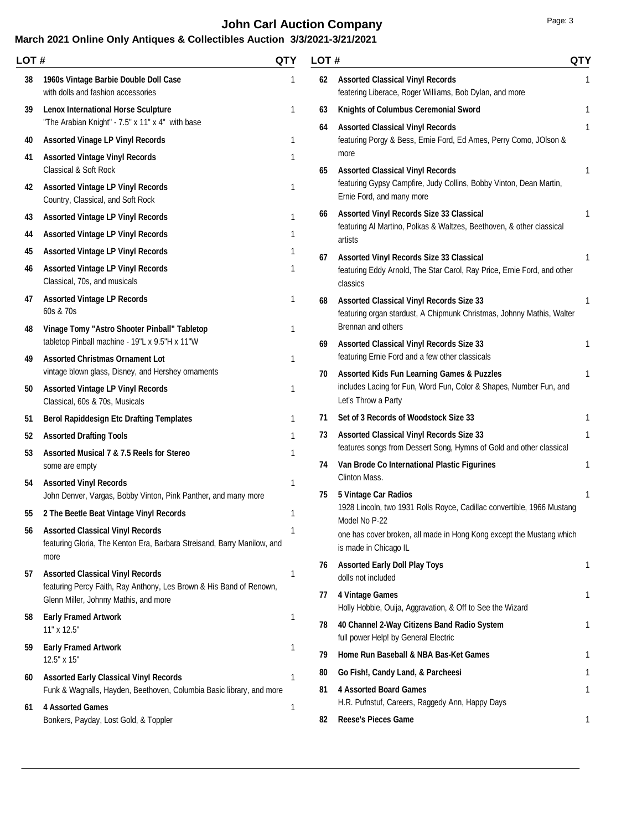# **John Carl Auction Company Page: 3**

| LOT#     |                                                                                                                        | QTY          | LOT# |                                                                                                                                                | QTY |
|----------|------------------------------------------------------------------------------------------------------------------------|--------------|------|------------------------------------------------------------------------------------------------------------------------------------------------|-----|
| 38       | 1960s Vintage Barbie Double Doll Case<br>with dolls and fashion accessories                                            | $\mathbf{1}$ |      | 62 Assorted Classical Vinyl Records<br>featering Liberace, Roger Williams, Bob Dylan, and more                                                 |     |
| 39       | <b>Lenox International Horse Sculpture</b>                                                                             | 1            | 63   | <b>Knights of Columbus Ceremonial Sword</b>                                                                                                    |     |
| 40       | "The Arabian Knight" - 7.5" x 11" x 4" with base<br><b>Assorted Vinage LP Vinyl Records</b>                            | 1            | 64   | <b>Assorted Classical Vinyl Records</b><br>featuring Porgy & Bess, Ernie Ford, Ed Ames, Perry Como, JOIson &                                   |     |
| 41<br>42 | <b>Assorted Vintage Vinyl Records</b><br>Classical & Soft Rock<br><b>Assorted Vintage LP Vinyl Records</b>             | 1<br>1       | 65   | more<br><b>Assorted Classical Vinyl Records</b><br>featuring Gypsy Campfire, Judy Collins, Bobby Vinton, Dean Martin,                          | 1   |
| 43       | Country, Classical, and Soft Rock<br><b>Assorted Vintage LP Vinyl Records</b>                                          |              | 66   | Ernie Ford, and many more<br><b>Assorted Vinyl Records Size 33 Classical</b>                                                                   |     |
| 44       | <b>Assorted Vintage LP Vinyl Records</b>                                                                               |              |      | featuring Al Martino, Polkas & Waltzes, Beethoven, & other classical<br>artists                                                                |     |
| 45<br>46 | <b>Assorted Vintage LP Vinyl Records</b><br><b>Assorted Vintage LP Vinyl Records</b><br>Classical, 70s, and musicals   | 1            | 67   | <b>Assorted Vinyl Records Size 33 Classical</b><br>featuring Eddy Arnold, The Star Carol, Ray Price, Ernie Ford, and other<br>classics         | 1   |
| 47       | <b>Assorted Vintage LP Records</b><br>60s & 70s                                                                        | 1            | 68   | <b>Assorted Classical Vinyl Records Size 33</b><br>featuring organ stardust, A Chipmunk Christmas, Johnny Mathis, Walter<br>Brennan and others | 1   |
| 48       | Vinage Tomy "Astro Shooter Pinball" Tabletop<br>tabletop Pinball machine - 19"L x 9.5"H x 11"W                         |              | 69   | <b>Assorted Classical Vinyl Records Size 33</b>                                                                                                |     |
| 49       | <b>Assorted Christmas Ornament Lot</b><br>vintage blown glass, Disney, and Hershey ornaments                           | 1            | 70   | featuring Ernie Ford and a few other classicals<br><b>Assorted Kids Fun Learning Games &amp; Puzzles</b>                                       |     |
| 50       | <b>Assorted Vintage LP Vinyl Records</b><br>Classical, 60s & 70s, Musicals                                             | 1            |      | includes Lacing for Fun, Word Fun, Color & Shapes, Number Fun, and<br>Let's Throw a Party                                                      |     |
| 51       | <b>Berol Rapiddesign Etc Drafting Templates</b>                                                                        | 1            | 71   | Set of 3 Records of Woodstock Size 33                                                                                                          |     |
| 52       | <b>Assorted Drafting Tools</b>                                                                                         |              | 73   | <b>Assorted Classical Vinyl Records Size 33</b>                                                                                                |     |
| 53       | Assorted Musical 7 & 7.5 Reels for Stereo<br>some are empty                                                            |              | 74   | features songs from Dessert Song, Hymns of Gold and other classical<br>Van Brode Co International Plastic Figurines                            |     |
| 54       | <b>Assorted Vinyl Records</b><br>John Denver, Vargas, Bobby Vinton, Pink Panther, and many more                        | 1            | 75   | Clinton Mass.<br>5 Vintage Car Radios                                                                                                          |     |
| 55       | 2 The Beetle Beat Vintage Vinyl Records                                                                                | 1            |      | 1928 Lincoln, two 1931 Rolls Royce, Cadillac convertible, 1966 Mustang<br>Model No P-22                                                        |     |
| 56       | <b>Assorted Classical Vinyl Records</b><br>featuring Gloria, The Kenton Era, Barbara Streisand, Barry Manilow, and     | $\mathbf{1}$ |      | one has cover broken, all made in Hong Kong except the Mustang which<br>is made in Chicago IL                                                  |     |
| 57       | more<br><b>Assorted Classical Vinyl Records</b><br>featuring Percy Faith, Ray Anthony, Les Brown & His Band of Renown, | 1            | 76   | <b>Assorted Early Doll Play Toys</b><br>dolls not included                                                                                     | 1   |
|          | Glenn Miller, Johnny Mathis, and more                                                                                  |              | 77   | 4 Vintage Games<br>Holly Hobbie, Ouija, Aggravation, & Off to See the Wizard                                                                   | 1   |
| 58       | <b>Early Framed Artwork</b><br>11" x 12.5"                                                                             | 1            | 78   | 40 Channel 2-Way Citizens Band Radio System<br>full power Help! by General Electric                                                            | 1   |
| 59       | <b>Early Framed Artwork</b><br>12.5" x 15"                                                                             |              | 79   | Home Run Baseball & NBA Bas-Ket Games                                                                                                          |     |
| 60       | <b>Assorted Early Classical Vinyl Records</b>                                                                          | 1            | 80   | Go Fish!, Candy Land, & Parcheesi                                                                                                              |     |
| 61       | Funk & Wagnalls, Hayden, Beethoven, Columbia Basic library, and more<br><b>4 Assorted Games</b>                        | 1            | 81   | <b>4 Assorted Board Games</b><br>H.R. Pufnstuf, Careers, Raggedy Ann, Happy Days                                                               | 1   |
|          | Bonkers, Payday, Lost Gold, & Toppler                                                                                  |              | 82   | <b>Reese's Pieces Game</b>                                                                                                                     | 1   |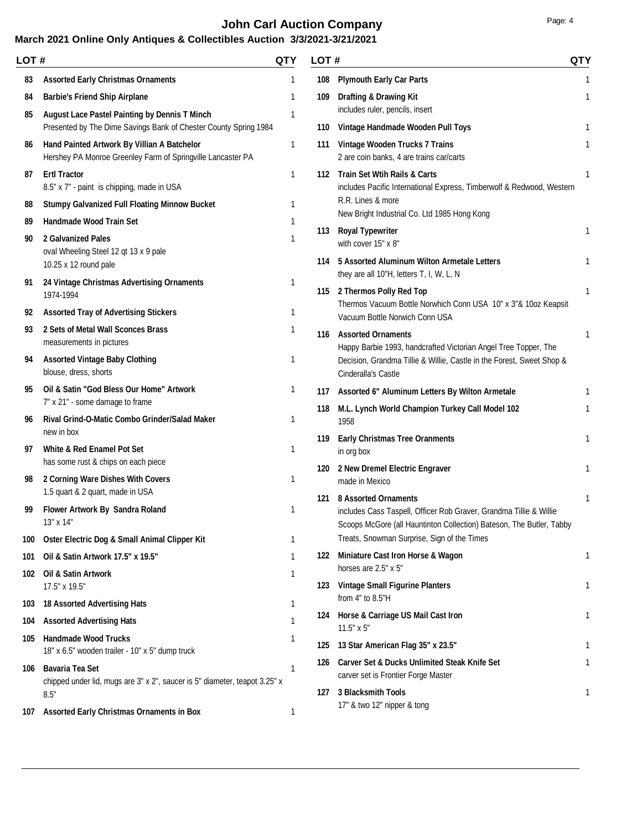# **John Carl Auction Company Page: 4 Page: 4**

| LOT #      |                                                                                                                                        | QTY               | LOT# |                                                                                                                                                                    | QTY |
|------------|----------------------------------------------------------------------------------------------------------------------------------------|-------------------|------|--------------------------------------------------------------------------------------------------------------------------------------------------------------------|-----|
| 83         | <b>Assorted Early Christmas Ornaments</b>                                                                                              | 1                 | 108  | <b>Plymouth Early Car Parts</b>                                                                                                                                    | 1   |
| 84         | <b>Barbie's Friend Ship Airplane</b>                                                                                                   | $\mathbf{1}$      | 109  | <b>Drafting &amp; Drawing Kit</b><br>includes ruler, pencils, insert                                                                                               | 1   |
| 85         | August Lace Pastel Painting by Dennis T Minch<br>Presented by The Dime Savings Bank of Chester County Spring 1984                      | 1                 | 110  | Vintage Handmade Wooden Pull Toys                                                                                                                                  | 1   |
| 86         | Hand Painted Artwork By Villian A Batchelor<br>Hershey PA Monroe Greenley Farm of Springville Lancaster PA                             | $\mathbf{1}$      | 111  | Vintage Wooden Trucks 7 Trains<br>2 are coin banks, 4 are trains car/carts                                                                                         | 1   |
| 87         | <b>Ertl Tractor</b><br>8.5" x 7" - paint is chipping, made in USA                                                                      | 1                 |      | 112 Train Set Wtih Rails & Carts<br>includes Pacific International Express, Timberwolf & Redwood, Western                                                          |     |
| 88         | <b>Stumpy Galvanized Full Floating Minnow Bucket</b>                                                                                   | $\mathbf{1}$      |      | R.R. Lines & more                                                                                                                                                  |     |
| 89         | <b>Handmade Wood Train Set</b>                                                                                                         | 1                 |      | New Bright Industrial Co. Ltd 1985 Hong Kong                                                                                                                       |     |
| 90         | <b>2 Galvanized Pales</b><br>oval Wheeling Steel 12 qt 13 x 9 pale                                                                     | 1                 | 113  | <b>Royal Typewriter</b><br>with cover 15" x 8"                                                                                                                     |     |
|            | 10.25 x 12 round pale                                                                                                                  |                   |      | 114 5 Assorted Aluminum Wilton Armetale Letters<br>they are all 10"H, letters T, I, W, L, N                                                                        |     |
| 91         | 24 Vintage Christmas Advertising Ornaments<br>1974-1994                                                                                | 1                 |      | 115 2 Thermos Polly Red Top<br>Thermos Vacuum Bottle Norwhich Conn USA 10" x 3"& 10oz Keapsit                                                                      | 1   |
| 92         | <b>Assorted Tray of Advertising Stickers</b>                                                                                           | 1                 |      | Vacuum Bottle Norwich Conn USA                                                                                                                                     |     |
| 93         | 2 Sets of Metal Wall Sconces Brass<br>measurements in pictures                                                                         | 1                 |      | 116 Assorted Ornaments<br>Happy Barbie 1993, handcrafted Victorian Angel Tree Topper, The                                                                          | 1   |
| 94         | <b>Assorted Vintage Baby Clothing</b><br>blouse, dress, shorts                                                                         | 1                 |      | Decision, Grandma Tillie & Willie, Castle in the Forest, Sweet Shop &<br>Cinderalla's Castle                                                                       |     |
| 95         | Oil & Satin "God Bless Our Home" Artwork                                                                                               | 1                 |      | 117 Assorted 6" Aluminum Letters By Wilton Armetale                                                                                                                | 1   |
|            | 7" x 21" - some damage to frame                                                                                                        |                   | 118  | M.L. Lynch World Champion Turkey Call Model 102                                                                                                                    |     |
| 96         | Rival Grind-O-Matic Combo Grinder/Salad Maker<br>new in box                                                                            | 1                 | 119  | 1958<br><b>Early Christmas Tree Oranments</b>                                                                                                                      |     |
| 97         | White & Red Enamel Pot Set<br>has some rust & chips on each piece                                                                      | 1                 |      | in org box                                                                                                                                                         |     |
| 98         | 2 Corning Ware Dishes With Covers<br>1.5 quart & 2 quart, made in USA                                                                  | 1                 |      | 120 2 New Dremel Electric Engraver<br>made in Mexico                                                                                                               | 1   |
| 99         | Flower Artwork By Sandra Roland<br>13" x 14'                                                                                           | 1                 | 121  | 8 Assorted Ornaments<br>includes Cass Taspell, Officer Rob Graver, Grandma Tillie & Willie<br>Scoops McGore (all Hauntinton Collection) Bateson, The Butler, Tabby | 1   |
| 100        | Oster Electric Dog & Small Animal Clipper Kit                                                                                          | 1                 |      | Treats, Snowman Surprise, Sign of the Times                                                                                                                        |     |
| 101<br>102 | Oil & Satin Artwork 17.5" x 19.5"<br>Oil & Satin Artwork                                                                               | $\mathbf{1}$<br>1 | 122  | Miniature Cast Iron Horse & Wagon<br>horses are 2.5" x 5"                                                                                                          | 1   |
|            | 17.5" x 19.5"                                                                                                                          |                   |      | 123 Vintage Small Figurine Planters<br>from $4"$ to $8.5"$ H                                                                                                       |     |
| 103        | <b>18 Assorted Advertising Hats</b>                                                                                                    | 1                 |      | 124 Horse & Carriage US Mail Cast Iron                                                                                                                             |     |
| 104        | <b>Assorted Advertising Hats</b>                                                                                                       | 1                 |      | $11.5"$ x $5"$                                                                                                                                                     |     |
| 105        | <b>Handmade Wood Trucks</b><br>18" x 6.5" wooden trailer - 10" x 5" dump truck                                                         | 1                 | 125  | 13 Star American Flag 35" x 23.5"                                                                                                                                  |     |
| 106        | <b>Bavaria Tea Set</b>                                                                                                                 | 1                 | 126  | <b>Carver Set &amp; Ducks Unlimited Steak Knife Set</b><br>carver set is Frontier Forge Master                                                                     | 1   |
| 107        | chipped under lid, mugs are 3" x 2", saucer is 5" diameter, teapot 3.25" x<br>8.5"<br><b>Assorted Early Christmas Ornaments in Box</b> | 1                 | 127  | 3 Blacksmith Tools<br>17" & two 12" nipper & tong                                                                                                                  | 1   |
|            |                                                                                                                                        |                   |      |                                                                                                                                                                    |     |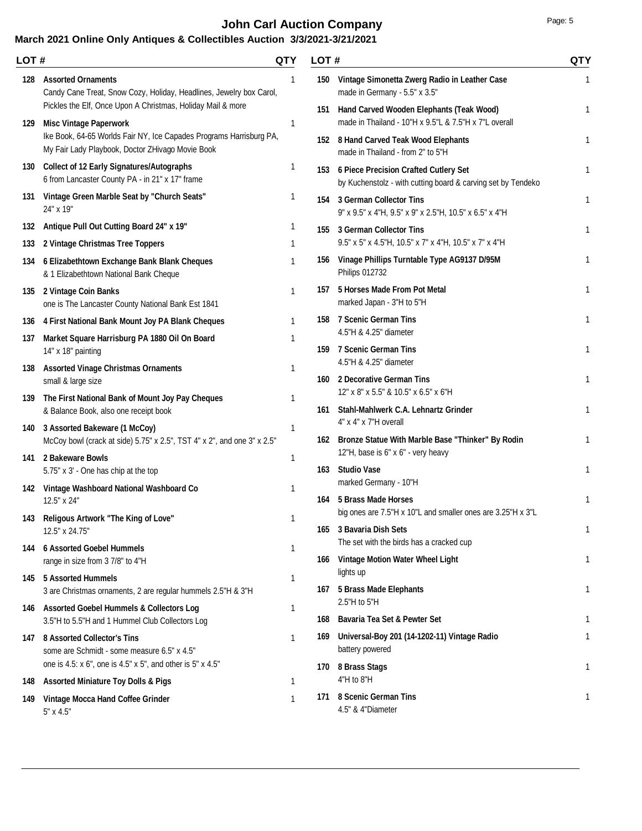# **John Carl Auction Company Page: 5 Page: 5**

| LOT# |                                                                                                                         | QTY          | LOT# |                                                                                                           | QTY          |
|------|-------------------------------------------------------------------------------------------------------------------------|--------------|------|-----------------------------------------------------------------------------------------------------------|--------------|
| 128  | <b>Assorted Ornaments</b><br>Candy Cane Treat, Snow Cozy, Holiday, Headlines, Jewelry box Carol,                        | 1            | 150  | Vintage Simonetta Zwerg Radio in Leather Case<br>made in Germany - 5.5" x 3.5"                            | 1            |
| 129  | Pickles the Elf, Once Upon A Christmas, Holiday Mail & more<br><b>Misc Vintage Paperwork</b>                            | 1            | 151  | Hand Carved Wooden Elephants (Teak Wood)<br>made in Thailand - 10"H x 9.5"L & 7.5"H x 7"L overall         | 1            |
|      | Ike Book, 64-65 Worlds Fair NY, Ice Capades Programs Harrisburg PA,<br>My Fair Lady Playbook, Doctor ZHivago Movie Book |              |      | 152 8 Hand Carved Teak Wood Elephants<br>made in Thailand - from 2" to 5"H                                | 1            |
|      | 130 Collect of 12 Early Signatures/Autographs<br>6 from Lancaster County PA - in 21" x 17" frame                        | 1            |      | 153 6 Piece Precision Crafted Cutlery Set<br>by Kuchenstolz - with cutting board & carving set by Tendeko | 1            |
|      | 131 Vintage Green Marble Seat by "Church Seats"<br>24" x 19"                                                            | 1            |      | 154 3 German Collector Tins<br>9" x 9.5" x 4"H, 9.5" x 9" x 2.5"H, 10.5" x 6.5" x 4"H                     | 1            |
| 132  | Antique Pull Out Cutting Board 24" x 19"                                                                                | 1            |      | 155 3 German Collector Tins                                                                               | 1            |
| 133  | 2 Vintage Christmas Tree Toppers                                                                                        | 1            |      | 9.5" x 5" x 4.5"H, 10.5" x 7" x 4"H, 10.5" x 7" x 4"H                                                     |              |
| 134  | 6 Elizabethtown Exchange Bank Blank Cheques<br>& 1 Elizabethtown National Bank Cheque                                   | $\mathbf{1}$ |      | 156 Vinage Phillips Turntable Type AG9137 D/95M<br>Philips 012732                                         | 1            |
|      | 135 2 Vintage Coin Banks<br>one is The Lancaster County National Bank Est 1841                                          | 1            | 157  | 5 Horses Made From Pot Metal<br>marked Japan - 3"H to 5"H                                                 | 1            |
| 136  | 4 First National Bank Mount Joy PA Blank Cheques                                                                        | $\mathbf{1}$ |      | 158 7 Scenic German Tins                                                                                  | 1            |
| 137  | Market Square Harrisburg PA 1880 Oil On Board<br>14" x 18" painting                                                     | 1            |      | 4.5"H & 4.25" diameter<br>159 7 Scenic German Tins                                                        | $\mathbf{1}$ |
| 138  | <b>Assorted Vinage Christmas Ornaments</b>                                                                              | 1            |      | 4.5"H & 4.25" diameter                                                                                    |              |
|      | small & large size                                                                                                      |              |      | 160 2 Decorative German Tins<br>12" x 8" x 5.5" & 10.5" x 6.5" x 6"H                                      | 1            |
| 139  | The First National Bank of Mount Joy Pay Cheques<br>& Balance Book, also one receipt book                               | 1            | 161  | Stahl-Mahlwerk C.A. Lehnartz Grinder<br>4" x 4" x 7"H overall                                             | 1            |
|      | 140 3 Assorted Bakeware (1 McCoy)<br>McCoy bowl (crack at side) 5.75" x 2.5", TST 4" x 2", and one 3" x 2.5"            | 1            |      | 162 Bronze Statue With Marble Base "Thinker" By Rodin                                                     | 1            |
|      | 141 2 Bakeware Bowls                                                                                                    | 1            |      | 12"H, base is 6" x 6" - very heavy                                                                        |              |
|      | 5.75" x 3' - One has chip at the top                                                                                    |              |      | 163 Studio Vase<br>marked Germany - 10"H                                                                  | 1            |
|      | 142 Vintage Washboard National Washboard Co<br>12.5" x 24"                                                              | 1            | 164  | 5 Brass Made Horses                                                                                       | 1            |
| 143  | Religous Artwork "The King of Love"                                                                                     |              |      | big ones are 7.5"H x 10"L and smaller ones are 3.25"H x 3"L                                               |              |
|      | 12.5" x 24.75"                                                                                                          |              |      | 165 3 Bavaria Dish Sets                                                                                   | 1            |
| 144  | <b>6 Assorted Goebel Hummels</b>                                                                                        | 1            |      | The set with the birds has a cracked cup                                                                  |              |
|      | range in size from 3 7/8" to 4"H                                                                                        |              |      | 166 Vintage Motion Water Wheel Light                                                                      | 1            |
|      | 145 5 Assorted Hummels                                                                                                  | 1            |      | lights up                                                                                                 |              |
|      | 3 are Christmas ornaments, 2 are regular hummels 2.5"H & 3"H                                                            |              |      | 167 5 Brass Made Elephants<br>2.5"H to 5"H                                                                | 1            |
|      | 146 Assorted Goebel Hummels & Collectors Log<br>3.5"H to 5.5"H and 1 Hummel Club Collectors Log                         | 1            | 168  | Bavaria Tea Set & Pewter Set                                                                              |              |
|      |                                                                                                                         |              | 169  | Universal-Boy 201 (14-1202-11) Vintage Radio                                                              |              |
|      | 147 8 Assorted Collector's Tins<br>some are Schmidt - some measure 6.5" x 4.5"                                          | 1            |      | battery powered                                                                                           |              |
|      | one is 4.5: x 6", one is 4.5" x 5", and other is 5" x 4.5"                                                              |              |      | 170 8 Brass Stags                                                                                         | 1            |
| 148  | <b>Assorted Miniature Toy Dolls &amp; Pigs</b>                                                                          | 1            |      | 4"H to 8"H                                                                                                |              |
| 149  | Vintage Mocca Hand Coffee Grinder<br>$5"$ x 4.5"                                                                        | 1            |      | 171 8 Scenic German Tins<br>4.5" & 4"Diameter                                                             | 1            |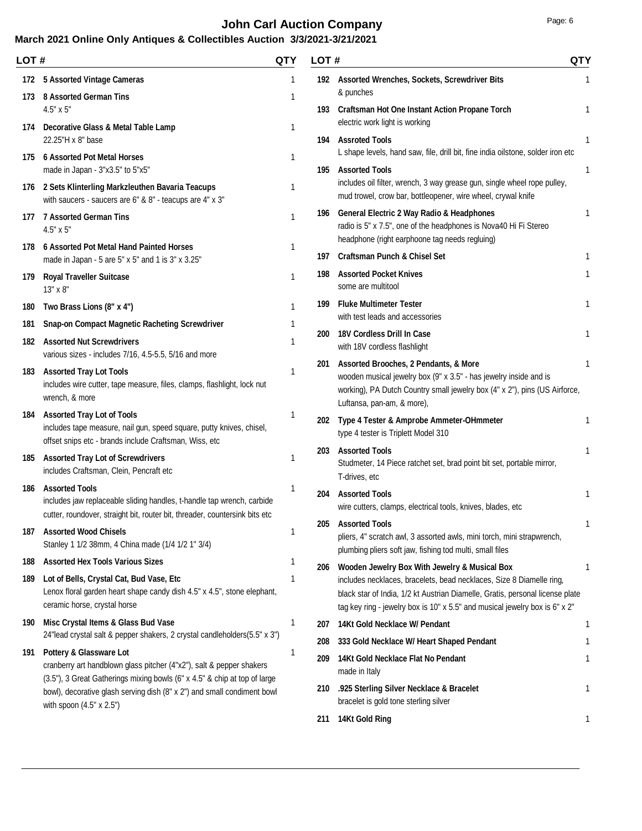# **John Carl Auction Company Page: 6 Page: 6**

| LOT #      |                                                                                                                                                                                  | <b>QTY</b>   | LOT# |                                                                                                                                                                                                                                      | QTY |
|------------|----------------------------------------------------------------------------------------------------------------------------------------------------------------------------------|--------------|------|--------------------------------------------------------------------------------------------------------------------------------------------------------------------------------------------------------------------------------------|-----|
|            | 172 5 Assorted Vintage Cameras                                                                                                                                                   | $\mathbf{1}$ |      | 192 Assorted Wrenches, Sockets, Screwdriver Bits<br>& punches                                                                                                                                                                        | 1   |
| 173        | 8 Assorted German Tins<br>4.5" x 5"                                                                                                                                              | 1            |      | 193 Craftsman Hot One Instant Action Propane Torch                                                                                                                                                                                   |     |
|            | 174 Decorative Glass & Metal Table Lamp<br>22.25"H x 8" base                                                                                                                     | 1            |      | electric work light is working<br>194 Assroted Tools                                                                                                                                                                                 | 1   |
| 175        | 6 Assorted Pot Metal Horses<br>made in Japan - 3"x3.5" to 5"x5"                                                                                                                  | 1            | 195  | L shape levels, hand saw, file, drill bit, fine india oilstone, solder iron etc<br><b>Assorted Tools</b>                                                                                                                             | 1   |
|            | 176 2 Sets Klinterling Markzleuthen Bavaria Teacups<br>with saucers - saucers are 6" & 8" - teacups are 4" x 3"                                                                  | 1            |      | includes oil filter, wrench, 3 way grease gun, single wheel rope pulley,<br>mud trowel, crow bar, bottleopener, wire wheel, crywal knife                                                                                             |     |
|            | 177 7 Assorted German Tins<br>$4.5" \times 5"$                                                                                                                                   |              |      | 196 General Electric 2 Way Radio & Headphones<br>radio is 5" x 7.5", one of the headphones is Nova40 Hi Fi Stereo<br>headphone (right earphoone tag needs regluing)                                                                  |     |
| 178        | 6 Assorted Pot Metal Hand Painted Horses<br>made in Japan - 5 are 5" x 5" and 1 is 3" x 3.25"                                                                                    |              | 197  | <b>Craftsman Punch &amp; Chisel Set</b>                                                                                                                                                                                              |     |
| 179        | <b>Royal Traveller Suitcase</b><br>13" x 8"                                                                                                                                      | 1            | 198  | <b>Assorted Pocket Knives</b><br>some are multitool                                                                                                                                                                                  |     |
| 180        | Two Brass Lions (8" x 4")                                                                                                                                                        | 1            | 199  | <b>Fluke Multimeter Tester</b><br>with test leads and accessories                                                                                                                                                                    |     |
| 181<br>182 | <b>Snap-on Compact Magnetic Racheting Screwdriver</b><br><b>Assorted Nut Screwdrivers</b><br>various sizes - includes 7/16, 4.5-5.5, 5/16 and more                               |              | 200  | 18V Cordless Drill In Case<br>with 18V cordless flashlight                                                                                                                                                                           | 1   |
| 183        | <b>Assorted Tray Lot Tools</b><br>includes wire cutter, tape measure, files, clamps, flashlight, lock nut<br>wrench, & more                                                      |              | 201  | Assorted Brooches, 2 Pendants, & More<br>wooden musical jewelry box (9" x 3.5" - has jewelry inside and is<br>working), PA Dutch Country small jewelry box (4" x 2"), pins (US Airforce,<br>Luftansa, pan-am, & more),               |     |
|            | 184 Assorted Tray Lot of Tools<br>includes tape measure, nail gun, speed square, putty knives, chisel,<br>offset snips etc - brands include Craftsman, Wiss, etc                 | 1            | 202  | Type 4 Tester & Amprobe Ammeter-OHmmeter<br>type 4 tester is Triplett Model 310                                                                                                                                                      |     |
| 185        | <b>Assorted Tray Lot of Screwdrivers</b><br>includes Craftsman, Clein, Pencraft etc                                                                                              | 1            | 203  | <b>Assorted Tools</b><br>Studmeter, 14 Piece ratchet set, brad point bit set, portable mirror,<br>T-drives, etc                                                                                                                      | 1   |
| 186        | <b>Assorted Tools</b><br>includes jaw replaceable sliding handles, t-handle tap wrench, carbide<br>cutter, roundover, straight bit, router bit, threader, countersink bits etc   |              | 204  | <b>Assorted Tools</b><br>wire cutters, clamps, electrical tools, knives, blades, etc                                                                                                                                                 | 1   |
| 187        | <b>Assorted Wood Chisels</b><br>Stanley 1 1/2 38mm, 4 China made (1/4 1/2 1" 3/4)                                                                                                | 1            | 205  | <b>Assorted Tools</b><br>pliers, 4" scratch awl, 3 assorted awls, mini torch, mini strapwrench,<br>plumbing pliers soft jaw, fishing tod multi, small files                                                                          |     |
| 188        | <b>Assorted Hex Tools Various Sizes</b>                                                                                                                                          | 1            | 206  | Wooden Jewelry Box With Jewelry & Musical Box                                                                                                                                                                                        | 1   |
| 189        | Lot of Bells, Crystal Cat, Bud Vase, Etc<br>Lenox floral garden heart shape candy dish 4.5" x 4.5", stone elephant,<br>ceramic horse, crystal horse                              | 1            |      | includes necklaces, bracelets, bead necklaces, Size 8 Diamelle ring,<br>black star of India, 1/2 kt Austrian Diamelle, Gratis, personal license plate<br>tag key ring - jewelry box is 10" x 5.5" and musical jewelry box is 6" x 2" |     |
| 190        | Misc Crystal Items & Glass Bud Vase                                                                                                                                              | 1            | 207  | 14Kt Gold Necklace W/ Pendant                                                                                                                                                                                                        | 1   |
|            | 24"lead crystal salt & pepper shakers, 2 crystal candleholders(5.5" x 3")                                                                                                        |              | 208  | 333 Gold Necklace W/ Heart Shaped Pendant                                                                                                                                                                                            |     |
| 191        | Pottery & Glassware Lot<br>cranberry art handblown glass pitcher (4"x2"), salt & pepper shakers                                                                                  | 1            | 209  | 14Kt Gold Necklace Flat No Pendant<br>made in Italy                                                                                                                                                                                  |     |
|            | (3.5"), 3 Great Gatherings mixing bowls (6" x 4.5" & chip at top of large<br>bowl), decorative glash serving dish (8" x 2") and small condiment bowl<br>with spoon (4.5" x 2.5") |              | 210  | .925 Sterling Silver Necklace & Bracelet<br>bracelet is gold tone sterling silver                                                                                                                                                    |     |
|            |                                                                                                                                                                                  |              |      | 211 14Kt Gold Ring                                                                                                                                                                                                                   | 1   |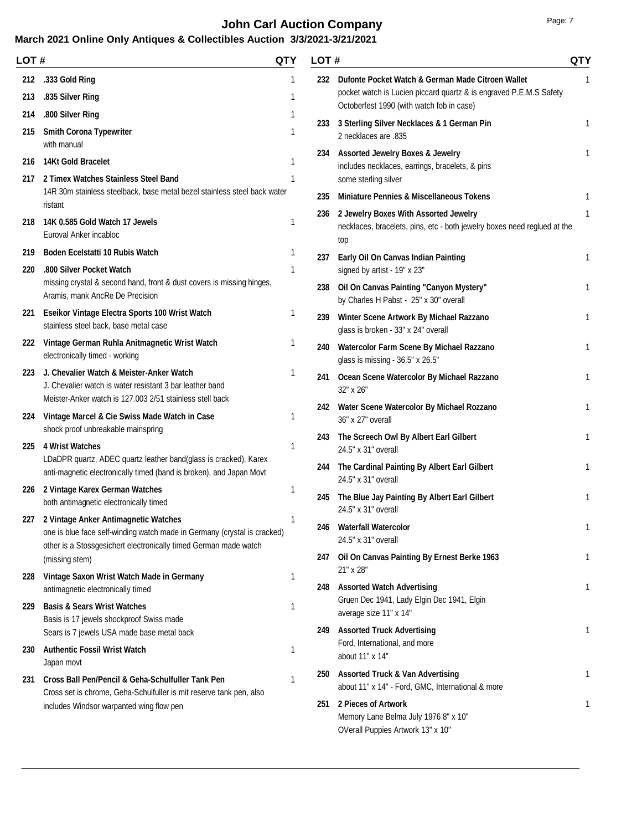# **John Carl Auction Company Page: 7 Page: 7**

| LOT # | <b>QTY</b>                                                                                                                                   | LOT#     |                                                                                                                 | QTY |
|-------|----------------------------------------------------------------------------------------------------------------------------------------------|----------|-----------------------------------------------------------------------------------------------------------------|-----|
| 212   | .333 Gold Ring                                                                                                                               | 232      | Dufonte Pocket Watch & German Made Citroen Wallet                                                               | 1   |
| 213   | .835 Silver Ring                                                                                                                             |          | pocket watch is Lucien piccard quartz & is engraved P.E.M.S Safety<br>Octoberfest 1990 (with watch fob in case) |     |
| 214   | .800 Silver Ring                                                                                                                             |          | 233 3 Sterling Silver Necklaces & 1 German Pin                                                                  | 1   |
| 215   | <b>Smith Corona Typewriter</b><br>with manual                                                                                                |          | 2 necklaces are .835                                                                                            |     |
| 216   | <b>14Kt Gold Bracelet</b>                                                                                                                    |          | 234 Assorted Jewelry Boxes & Jewelry<br>includes necklaces, earrings, bracelets, & pins                         |     |
| 217   | 2 Timex Watches Stainless Steel Band<br>14R 30m stainless steelback, base metal bezel stainless steel back water                             | 1<br>235 | some sterling silver<br><b>Miniature Pennies &amp; Miscellaneous Tokens</b>                                     | 1   |
|       | ristant                                                                                                                                      | 236      | 2 Jewelry Boxes With Assorted Jewelry                                                                           | 1   |
| 218   | 14K 0.585 Gold Watch 17 Jewels<br>Euroval Anker incabloc                                                                                     | 1        | necklaces, bracelets, pins, etc - both jewelry boxes need reglued at the<br>top                                 |     |
| 219   | Boden Ecelstatti 10 Rubis Watch                                                                                                              | 237      | Early Oil On Canvas Indian Painting                                                                             | 1   |
| 220   | .800 Silver Pocket Watch                                                                                                                     |          | signed by artist - 19" x 23"                                                                                    |     |
|       | missing crystal & second hand, front & dust covers is missing hinges,<br>Aramis, mank AncRe De Precision                                     | 238      | Oil On Canvas Painting "Canyon Mystery"<br>by Charles H Pabst - 25" x 30" overall                               |     |
|       | 221 Eseikor Vintage Electra Sports 100 Wrist Watch<br>stainless steel back, base metal case                                                  | 1<br>239 | Winter Scene Artwork By Michael Razzano<br>glass is broken - 33" x 24" overall                                  |     |
| 222   | Vintage German Ruhla Anitmagnetic Wrist Watch<br>electronically timed - working                                                              | 1        | 240 Watercolor Farm Scene By Michael Razzano<br>glass is missing - 36.5" x 26.5"                                | 1   |
| 223   | J. Chevalier Watch & Meister-Anker Watch<br>J. Chevalier watch is water resistant 3 bar leather band                                         |          | 241 Ocean Scene Watercolor By Michael Razzano<br>32" x 26"                                                      | 1   |
|       | Meister-Anker watch is 127.003 2/51 stainless stell back<br>224 Vintage Marcel & Cie Swiss Made Watch in Case                                | 1        | 242 Water Scene Watercolor By Michael Rozzano<br>36" x 27" overall                                              | 1   |
| 225   | shock proof unbreakable mainspring<br><b>4 Wrist Watches</b>                                                                                 | 243<br>1 | The Screech Owl By Albert Earl Gilbert                                                                          | 1   |
|       | LDaDPR quartz, ADEC quartz leather band(glass is cracked), Karex<br>anti-magnetic electronically timed (band is broken), and Japan Movt      | 244      | 24.5" x 31" overall<br>The Cardinal Painting By Albert Earl Gilbert                                             |     |
| 226   | 2 Vintage Karex German Watches<br>both antimagnetic electronically timed                                                                     | 1<br>245 | 24.5" x 31" overall<br>The Blue Jay Painting By Albert Earl Gilbert                                             | 1   |
| 227   | 2 Vintage Anker Antimagnetic Watches                                                                                                         |          | 24.5" x 31" overall                                                                                             |     |
|       | one is blue face self-winding watch made in Germany (crystal is cracked)<br>other is a Stossgesichert electronically timed German made watch |          | 246 Waterfall Watercolor<br>24.5" x 31" overall                                                                 | 1   |
|       | (missing stem)                                                                                                                               |          | 247 Oil On Canvas Painting By Ernest Berke 1963                                                                 | 1   |
|       | 228 Vintage Saxon Wrist Watch Made in Germany                                                                                                | 1        | 21" x 28"<br>248 Assorted Watch Advertising                                                                     | 1   |
|       | antimagnetic electronically timed                                                                                                            |          | Gruen Dec 1941, Lady Elgin Dec 1941, Elgin                                                                      |     |
| 229   | <b>Basis &amp; Sears Wrist Watches</b><br>Basis is 17 jewels shockproof Swiss made                                                           | 1        | average size 11" x 14"                                                                                          |     |
|       | Sears is 7 jewels USA made base metal back                                                                                                   |          | 249 Assorted Truck Advertising                                                                                  | 1   |
|       | 230 Authentic Fossil Wrist Watch<br>Japan movt                                                                                               | 1        | Ford, International, and more<br>about 11" x 14"                                                                |     |
|       | 231 Cross Ball Pen/Pencil & Geha-Schulfuller Tank Pen<br>Cross set is chrome, Geha-Schulfuller is mit reserve tank pen, also                 | 1        | 250 Assorted Truck & Van Advertising<br>about 11" x 14" - Ford, GMC, International & more                       | 1   |
|       | includes Windsor warpanted wing flow pen                                                                                                     |          | 251 2 Pieces of Artwork<br>Memory Lane Belma July 1976 8" x 10"<br>OVerall Puppies Artwork 13" x 10"            | 1   |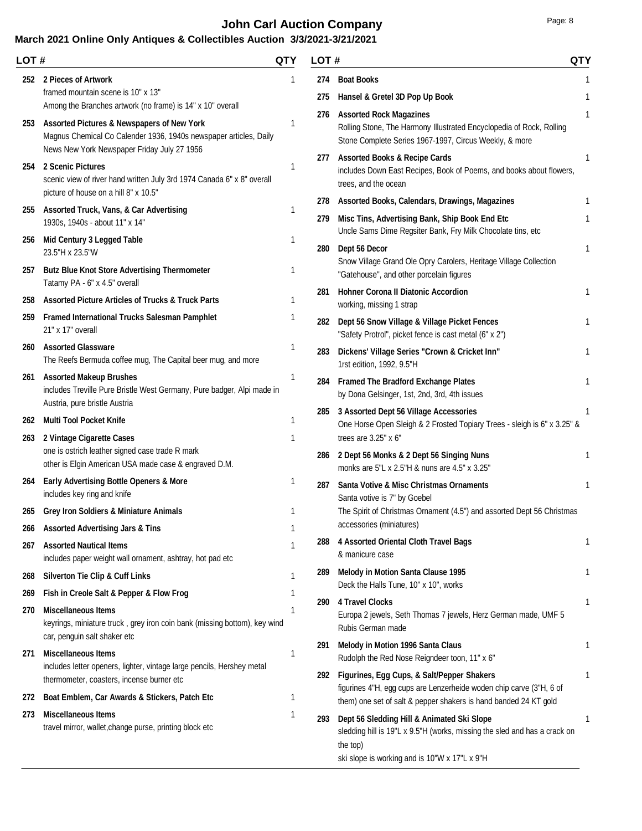# **John Carl Auction Company Page: 8 Page: 8**

| LOT # |                                                                                                                                                                                                                                  | <b>QTY</b> | LOT# |                                                                                                                                                                                      | QTY |
|-------|----------------------------------------------------------------------------------------------------------------------------------------------------------------------------------------------------------------------------------|------------|------|--------------------------------------------------------------------------------------------------------------------------------------------------------------------------------------|-----|
|       | 252 2 Pieces of Artwork                                                                                                                                                                                                          | 1          | 274  | <b>Boat Books</b>                                                                                                                                                                    |     |
|       | framed mountain scene is 10" x 13"                                                                                                                                                                                               |            | 275  | Hansel & Gretel 3D Pop Up Book                                                                                                                                                       |     |
|       | Among the Branches artwork (no frame) is 14" x 10" overall<br>253 Assorted Pictures & Newspapers of New York<br>Magnus Chemical Co Calender 1936, 1940s newspaper articles, Daily<br>News New York Newspaper Friday July 27 1956 |            |      | 276 Assorted Rock Magazines<br>Rolling Stone, The Harmony Illustrated Encyclopedia of Rock, Rolling<br>Stone Complete Series 1967-1997, Circus Weekly, & more                        |     |
|       | 254 2 Scenic Pictures<br>scenic view of river hand written July 3rd 1974 Canada 6" x 8" overall                                                                                                                                  | 1          | 277  | <b>Assorted Books &amp; Recipe Cards</b><br>includes Down East Recipes, Book of Poems, and books about flowers,<br>trees, and the ocean                                              | 1   |
|       | picture of house on a hill 8" x 10.5"                                                                                                                                                                                            | 1          | 278  | <b>Assorted Books, Calendars, Drawings, Magazines</b>                                                                                                                                |     |
|       | 255 Assorted Truck, Vans, & Car Advertising<br>1930s, 1940s - about 11" x 14"                                                                                                                                                    |            | 279  | Misc Tins, Advertising Bank, Ship Book End Etc                                                                                                                                       |     |
| 256   | Mid Century 3 Legged Table<br>23.5"H x 23.5"W                                                                                                                                                                                    | 1          | 280  | Uncle Sams Dime Regsiter Bank, Fry Milk Chocolate tins, etc<br>Dept 56 Decor                                                                                                         | 1   |
| 257   | <b>Butz Blue Knot Store Advertising Thermometer</b><br>Tatamy PA - 6" x 4.5" overall                                                                                                                                             |            |      | Snow Village Grand Ole Opry Carolers, Heritage Village Collection<br>"Gatehouse", and other porcelain figures                                                                        |     |
| 258   | <b>Assorted Picture Articles of Trucks &amp; Truck Parts</b>                                                                                                                                                                     | 1          | 281  | <b>Hohner Corona II Diatonic Accordion</b><br>working, missing 1 strap                                                                                                               | 1   |
| 259   | <b>Framed International Trucks Salesman Pamphlet</b><br>21" x 17" overall                                                                                                                                                        | 1          | 282  | Dept 56 Snow Village & Village Picket Fences<br>"Safety Protrol", picket fence is cast metal (6" x 2")                                                                               |     |
| 260   | <b>Assorted Glassware</b><br>The Reefs Bermuda coffee mug, The Capital beer mug, and more                                                                                                                                        | 1          | 283  | Dickens' Village Series "Crown & Cricket Inn"<br>1rst edition, 1992, 9.5"H                                                                                                           |     |
|       | 261 Assorted Makeup Brushes<br>includes Treville Pure Bristle West Germany, Pure badger, Alpi made in                                                                                                                            | 1          | 284  | <b>Framed The Bradford Exchange Plates</b><br>by Dona Gelsinger, 1st, 2nd, 3rd, 4th issues                                                                                           | 1   |
| 262   | Austria, pure bristle Austria<br><b>Multi Tool Pocket Knife</b>                                                                                                                                                                  | 1          | 285  | 3 Assorted Dept 56 Village Accessories                                                                                                                                               |     |
| 263   | 2 Vintage Cigarette Cases                                                                                                                                                                                                        |            |      | One Horse Open Sleigh & 2 Frosted Topiary Trees - sleigh is 6" x 3.25" &<br>trees are 3.25" x 6"                                                                                     |     |
|       | one is ostrich leather signed case trade R mark<br>other is Elgin American USA made case & engraved D.M.                                                                                                                         |            | 286  | 2 Dept 56 Monks & 2 Dept 56 Singing Nuns<br>monks are 5"L x 2.5"H & nuns are 4.5" x 3.25"                                                                                            |     |
|       | 264 Early Advertising Bottle Openers & More<br>includes key ring and knife                                                                                                                                                       | 1          | 287  | <b>Santa Votive &amp; Misc Christmas Ornaments</b><br>Santa votive is 7" by Goebel                                                                                                   |     |
| 265   | <b>Grey Iron Soldiers &amp; Miniature Animals</b>                                                                                                                                                                                | 1          |      | The Spirit of Christmas Ornament (4.5") and assorted Dept 56 Christmas                                                                                                               |     |
| 266   | <b>Assorted Advertising Jars &amp; Tins</b>                                                                                                                                                                                      | 1          |      | accessories (miniatures)                                                                                                                                                             |     |
| 267   | <b>Assorted Nautical Items</b><br>includes paper weight wall ornament, ashtray, hot pad etc                                                                                                                                      | 1          | 288  | 4 Assorted Oriental Cloth Travel Bags<br>& manicure case                                                                                                                             |     |
| 268   | <b>Silverton Tie Clip &amp; Cuff Links</b>                                                                                                                                                                                       |            | 289  | <b>Melody in Motion Santa Clause 1995</b><br>Deck the Halls Tune, 10" x 10", works                                                                                                   |     |
| 269   | Fish in Creole Salt & Pepper & Flow Frog                                                                                                                                                                                         |            | 290  | 4 Travel Clocks                                                                                                                                                                      | 1   |
| 270   | <b>Miscellaneous Items</b><br>keyrings, miniature truck, grey iron coin bank (missing bottom), key wind<br>car, penguin salt shaker etc                                                                                          |            |      | Europa 2 jewels, Seth Thomas 7 jewels, Herz German made, UMF 5<br>Rubis German made                                                                                                  |     |
| 271   | <b>Miscellaneous Items</b>                                                                                                                                                                                                       | 1          | 291  | Melody in Motion 1996 Santa Claus<br>Rudolph the Red Nose Reigndeer toon, 11" x 6"                                                                                                   | 1   |
|       | includes letter openers, lighter, vintage large pencils, Hershey metal<br>thermometer, coasters, incense burner etc                                                                                                              |            |      | 292 Figurines, Egg Cups, & Salt/Pepper Shakers<br>figurines 4"H, egg cups are Lenzerheide woden chip carve (3"H, 6 of                                                                | 1   |
|       | 272 Boat Emblem, Car Awards & Stickers, Patch Etc                                                                                                                                                                                | 1          |      | them) one set of salt & pepper shakers is hand banded 24 KT gold                                                                                                                     |     |
| 273   | <b>Miscellaneous Items</b><br>travel mirror, wallet, change purse, printing block etc                                                                                                                                            | 1          | 293. | Dept 56 Sledding Hill & Animated Ski Slope<br>sledding hill is 19"L x 9.5"H (works, missing the sled and has a crack on<br>the top)<br>ski slope is working and is 10"W x 17"L x 9"H | 1   |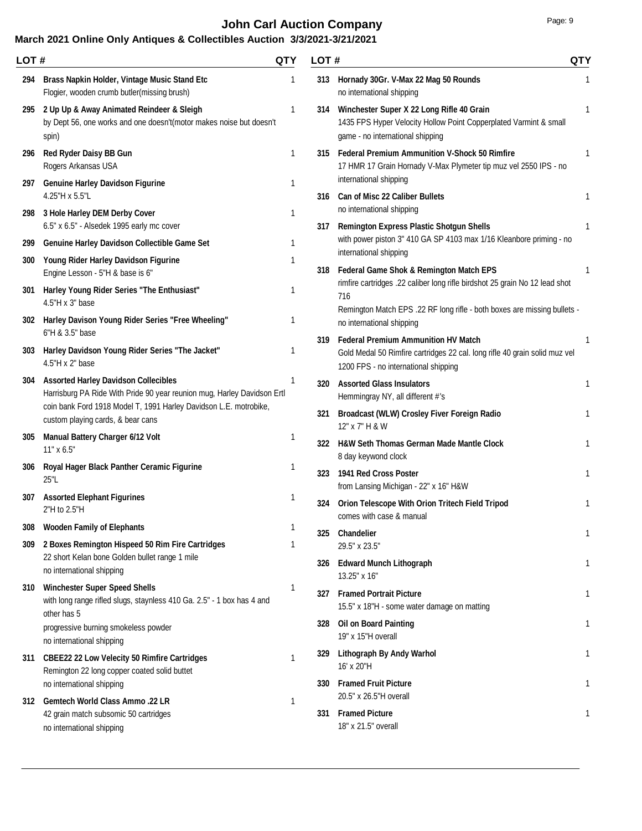# **John Carl Auction Company Page: 9 Page: 9**

| LOT # |                                                                                                                                                                                             | <b>QTY</b> | LOT# |                                                                                                                                                    | QTY |
|-------|---------------------------------------------------------------------------------------------------------------------------------------------------------------------------------------------|------------|------|----------------------------------------------------------------------------------------------------------------------------------------------------|-----|
|       | 294 Brass Napkin Holder, Vintage Music Stand Etc<br>Flogier, wooden crumb butler(missing brush)                                                                                             | 1          |      | 313 Hornady 30Gr. V-Max 22 Mag 50 Rounds<br>no international shipping                                                                              | 1   |
| 295   | 2 Up Up & Away Animated Reindeer & Sleigh<br>by Dept 56, one works and one doesn't (motor makes noise but doesn't<br>spin)                                                                  | 1          | 314  | Winchester Super X 22 Long Rifle 40 Grain<br>1435 FPS Hyper Velocity Hollow Point Copperplated Varmint & small<br>game - no international shipping | 1   |
|       | 296 Red Ryder Daisy BB Gun<br>Rogers Arkansas USA                                                                                                                                           | 1          |      | 315 Federal Premium Ammunition V-Shock 50 Rimfire<br>17 HMR 17 Grain Hornady V-Max Plymeter tip muz vel 2550 IPS - no<br>international shipping    | 1   |
| 297   | <b>Genuine Harley Davidson Figurine</b><br>4.25"H x 5.5"L                                                                                                                                   | 1          |      | 316 Can of Misc 22 Caliber Bullets                                                                                                                 | 1   |
| 298   | 3 Hole Harley DEM Derby Cover<br>6.5" x 6.5" - Alsedek 1995 early mc cover                                                                                                                  | 1          | 317  | no international shipping<br><b>Remington Express Plastic Shotgun Shells</b>                                                                       |     |
| 299   | <b>Genuine Harley Davidson Collectible Game Set</b>                                                                                                                                         | 1          |      | with power piston 3" 410 GA SP 4103 max 1/16 Kleanbore priming - no<br>international shipping                                                      |     |
| 300   | Young Rider Harley Davidson Figurine<br>Engine Lesson - 5"H & base is 6"                                                                                                                    |            |      | 318 Federal Game Shok & Remington Match EPS<br>rimfire cartridges .22 caliber long rifle birdshot 25 grain No 12 lead shot                         |     |
| 301   | Harley Young Rider Series "The Enthusiast"<br>4.5"H x 3" base                                                                                                                               | 1          |      | 716<br>Remington Match EPS .22 RF long rifle - both boxes are missing bullets -                                                                    |     |
|       | 302 Harley Davison Young Rider Series "Free Wheeling"<br>6"H & 3.5" base                                                                                                                    |            | 319  | no international shipping<br><b>Federal Premium Ammunition HV Match</b>                                                                            |     |
| 303   | Harley Davidson Young Rider Series "The Jacket"<br>4.5"H x 2" base                                                                                                                          | 1          |      | Gold Medal 50 Rimfire cartridges 22 cal. long rifle 40 grain solid muz vel<br>1200 FPS - no international shipping                                 |     |
| 304   | <b>Assorted Harley Davidson Collecibles</b><br>Harrisburg PA Ride With Pride 90 year reunion mug, Harley Davidson Ertl<br>coin bank Ford 1918 Model T, 1991 Harley Davidson L.E. motrobike, | 1          | 320  | <b>Assorted Glass Insulators</b><br>Hemmingray NY, all different #'s                                                                               | 1   |
|       | custom playing cards, & bear cans                                                                                                                                                           |            | 321  | <b>Broadcast (WLW) Crosley Fiver Foreign Radio</b><br>12" x 7" H & W                                                                               | 1   |
| 305   | Manual Battery Charger 6/12 Volt<br>$11"$ x 6.5"                                                                                                                                            | 1          |      | 322 H&W Seth Thomas German Made Mantle Clock<br>8 day keywond clock                                                                                | 1   |
| 306   | Royal Hager Black Panther Ceramic Figurine<br>25"L                                                                                                                                          |            | 323  | 1941 Red Cross Poster<br>from Lansing Michigan - 22" x 16" H&W                                                                                     | 1   |
| 307   | <b>Assorted Elephant Figurines</b><br>2"H to 2.5"H                                                                                                                                          |            | 324  | Orion Telescope With Orion Tritech Field Tripod<br>comes with case & manual                                                                        |     |
| 308   | <b>Wooden Family of Elephants</b>                                                                                                                                                           | 1          |      | 325 Chandelier                                                                                                                                     | 1   |
| 309   | 2 Boxes Remington Hispeed 50 Rim Fire Cartridges<br>22 short Kelan bone Golden bullet range 1 mile                                                                                          | 1          |      | 29.5" x 23.5"                                                                                                                                      |     |
|       | no international shipping                                                                                                                                                                   |            |      | 326 Edward Munch Lithograph<br>13.25" x 16"                                                                                                        | 1   |
|       | 310 Winchester Super Speed Shells<br>with long range rifled slugs, staynless 410 Ga. 2.5" - 1 box has 4 and<br>other has 5                                                                  | 1          | 327  | <b>Framed Portrait Picture</b><br>15.5" x 18"H - some water damage on matting                                                                      |     |
|       | progressive burning smokeless powder<br>no international shipping                                                                                                                           |            | 328  | <b>Oil on Board Painting</b><br>19" x 15"H overall                                                                                                 |     |
| 311   | <b>CBEE22 22 Low Velecity 50 Rimfire Cartridges</b><br>Remington 22 long copper coated solid buttet                                                                                         | 1          |      | 329 Lithograph By Andy Warhol<br>16' x 20"H                                                                                                        | 1   |
|       | no international shipping                                                                                                                                                                   |            |      | 330 Framed Fruit Picture<br>20.5" x 26.5"H overall                                                                                                 |     |
|       | 312 Gemtech World Class Ammo .22 LR<br>42 grain match subsomic 50 cartridges<br>no international shipping                                                                                   | 1          |      | 331 Framed Picture<br>18" x 21.5" overall                                                                                                          |     |
|       |                                                                                                                                                                                             |            |      |                                                                                                                                                    |     |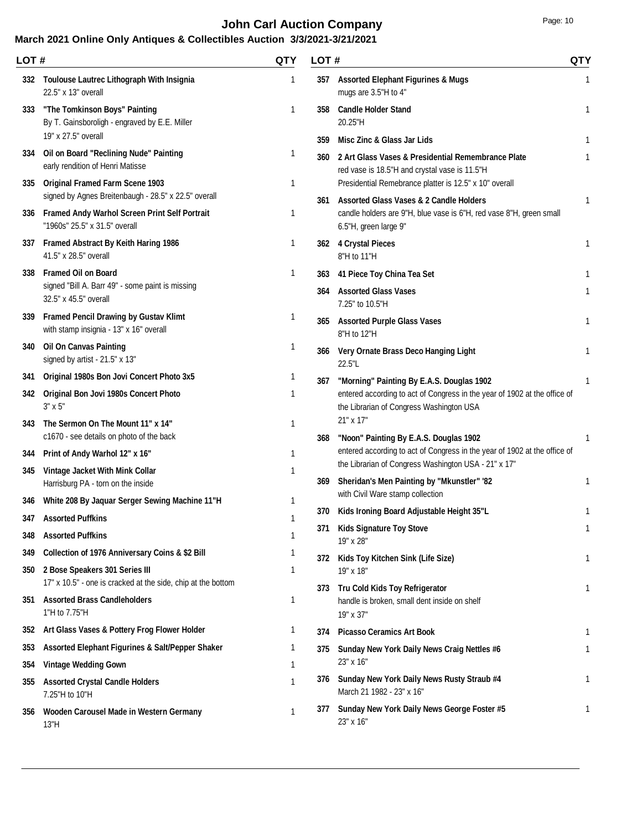# **John Carl Auction Company Page: 10** Page: 10

|     |                                                                                                                   |   | LOT# |                                                                                                                                             | QTY |
|-----|-------------------------------------------------------------------------------------------------------------------|---|------|---------------------------------------------------------------------------------------------------------------------------------------------|-----|
|     | 332 Toulouse Lautrec Lithograph With Insignia<br>22.5" x 13" overall                                              | 1 |      | 357 Assorted Elephant Figurines & Mugs<br>mugs are 3.5"H to 4"                                                                              | 1   |
| 333 | "The Tomkinson Boys" Painting<br>By T. Gainsboroligh - engraved by E.E. Miller                                    | 1 | 358  | <b>Candle Holder Stand</b><br>20.25"H                                                                                                       | 1   |
|     | 19" x 27.5" overall                                                                                               |   | 359  | Misc Zinc & Glass Jar Lids                                                                                                                  | 1   |
|     | 334 Oil on Board "Reclining Nude" Painting<br>early rendition of Henri Matisse                                    | 1 | 360  | 2 Art Glass Vases & Presidential Remembrance Plate<br>red vase is 18.5"H and crystal vase is 11.5"H                                         |     |
| 335 | <b>Original Framed Farm Scene 1903</b><br>signed by Agnes Breitenbaugh - 28.5" x 22.5" overall                    | 1 |      | Presidential Remebrance platter is 12.5" x 10" overall                                                                                      |     |
|     | 336 Framed Andy Warhol Screen Print Self Portrait<br>"1960s" 25.5" x 31.5" overall                                | 1 |      | 361 Assorted Glass Vases & 2 Candle Holders<br>candle holders are 9"H, blue vase is 6"H, red vase 8"H, green small<br>6.5"H, green large 9" | 1   |
|     | 337 Framed Abstract By Keith Haring 1986<br>41.5" x 28.5" overall                                                 | 1 |      | 362 4 Crystal Pieces<br>8"H to 11"H                                                                                                         | 1   |
| 338 | <b>Framed Oil on Board</b>                                                                                        | 1 | 363  | 41 Piece Toy China Tea Set                                                                                                                  | 1   |
|     | signed "Bill A. Barr 49" - some paint is missing<br>32.5" x 45.5" overall                                         |   | 364  | <b>Assorted Glass Vases</b><br>7.25" to 10.5"H                                                                                              | 1   |
|     | 339 Framed Pencil Drawing by Gustav Klimt<br>with stamp insignia - 13" x 16" overall                              | 1 |      | 365 Assorted Purple Glass Vases<br>8"H to 12"H                                                                                              | 1   |
| 340 | <b>Oil On Canvas Painting</b><br>signed by artist - 21.5" x 13"                                                   | 1 |      | 366 Very Ornate Brass Deco Hanging Light<br>22.5"L                                                                                          | 1   |
| 341 | Original 1980s Bon Jovi Concert Photo 3x5                                                                         | 1 | 367  | "Morning" Painting By E.A.S. Douglas 1902                                                                                                   | 1   |
| 342 | Original Bon Jovi 1980s Concert Photo<br>$3" \times 5"$                                                           | 1 |      | entered according to act of Congress in the year of 1902 at the office of<br>the Librarian of Congress Washington USA                       |     |
| 343 | The Sermon On The Mount 11" x 14"                                                                                 | 1 |      | 21" x 17"                                                                                                                                   |     |
|     | c1670 - see details on photo of the back                                                                          |   | 368  | "Noon" Painting By E.A.S. Douglas 1902<br>entered according to act of Congress in the year of 1902 at the office of                         | 1   |
| 344 | Print of Andy Warhol 12" x 16"                                                                                    | 1 |      | the Librarian of Congress Washington USA - 21" x 17"                                                                                        |     |
| 345 | Vintage Jacket With Mink Collar<br>Harrisburg PA - torn on the inside                                             | 1 | 369  | Sheridan's Men Painting by "Mkunstler" '82                                                                                                  | 1   |
| 346 | White 208 By Jaquar Serger Sewing Machine 11"H                                                                    |   |      | with Civil Ware stamp collection                                                                                                            |     |
|     | 347 Assorted Puffkins                                                                                             |   |      | 370 Kids Ironing Board Adjustable Height 35"L                                                                                               | 1   |
| 348 | <b>Assorted Puffkins</b>                                                                                          | 1 |      | 371 Kids Signature Toy Stove<br>19" x 28"                                                                                                   | 1   |
| 349 | <b>Collection of 1976 Anniversary Coins &amp; \$2 Bill</b>                                                        | 1 |      | 372 Kids Toy Kitchen Sink (Life Size)                                                                                                       |     |
| 350 | 2 Bose Speakers 301 Series III                                                                                    | 1 |      | 19" x 18"                                                                                                                                   |     |
|     | 17" x 10.5" - one is cracked at the side, chip at the bottom<br>351 Assorted Brass Candleholders<br>1"H to 7.75"H | 1 | 373  | <b>Tru Cold Kids Toy Refrigerator</b><br>handle is broken, small dent inside on shelf<br>19" x 37"                                          | 1   |
| 352 | Art Glass Vases & Pottery Frog Flower Holder                                                                      | 1 |      | 374 Picasso Ceramics Art Book                                                                                                               | 1   |
| 353 | <b>Assorted Elephant Figurines &amp; Salt/Pepper Shaker</b>                                                       | 1 | 375  | Sunday New York Daily News Craig Nettles #6                                                                                                 |     |
| 354 | <b>Vintage Wedding Gown</b>                                                                                       | 1 |      | 23" x 16"                                                                                                                                   |     |
| 355 | <b>Assorted Crystal Candle Holders</b><br>7.25"H to 10"H                                                          | 1 |      | 376 Sunday New York Daily News Rusty Straub #4<br>March 21 1982 - 23" x 16"                                                                 |     |
| 356 | Wooden Carousel Made in Western Germany<br>13"H                                                                   | 1 | 377  | Sunday New York Daily News George Foster #5<br>23" x 16"                                                                                    | 1   |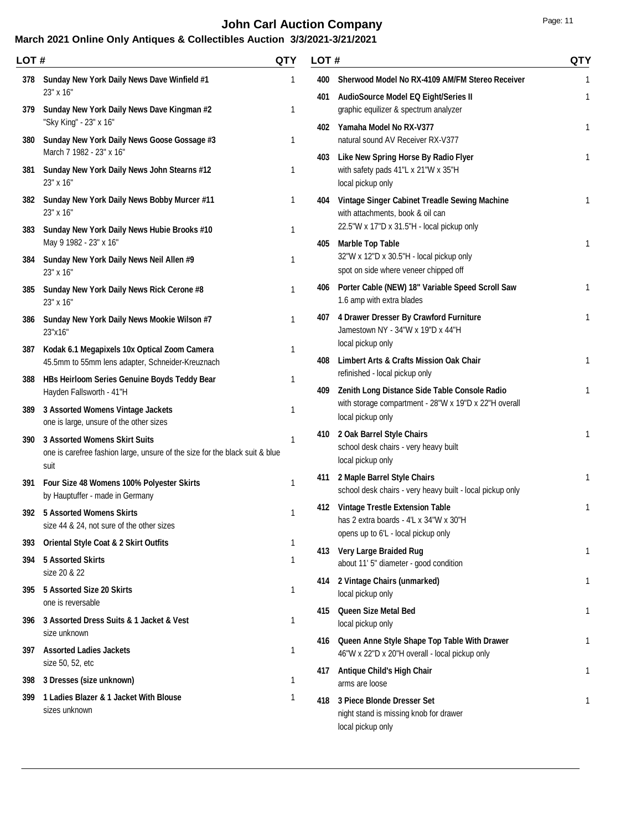# **John Carl Auction Company Page: 11**

| LOT #      |                                                                                                                      | QTY    | LOT#       |                                                                                                                      | QTY    |
|------------|----------------------------------------------------------------------------------------------------------------------|--------|------------|----------------------------------------------------------------------------------------------------------------------|--------|
|            | 378 Sunday New York Daily News Dave Winfield #1<br>23" x 16"                                                         | 1      | 400<br>401 | Sherwood Model No RX-4109 AM/FM Stereo Receiver                                                                      | 1<br>1 |
| 379        | Sunday New York Daily News Dave Kingman #2<br>"Sky King" - 23" x 16"                                                 | 1      | 402        | AudioSource Model EQ Eight/Series II<br>graphic equilizer & spectrum analyzer<br>Yamaha Model No RX-V377             | 1      |
| 380        | Sunday New York Daily News Goose Gossage #3<br>March 7 1982 - 23" x 16"                                              | 1      |            | natural sound AV Receiver RX-V377                                                                                    |        |
|            | 381 Sunday New York Daily News John Stearns #12<br>23" x 16"                                                         | 1      |            | 403 Like New Spring Horse By Radio Flyer<br>with safety pads 41"L x 21"W x 35"H<br>local pickup only                 | 1      |
|            | 382 Sunday New York Daily News Bobby Murcer #11<br>23" x 16"                                                         | 1      | 404        | Vintage Singer Cabinet Treadle Sewing Machine<br>with attachments, book & oil can                                    | 1      |
| 383        | <b>Sunday New York Daily News Hubie Brooks #10</b><br>May 9 1982 - 23" x 16"                                         | 1      | 405        | 22.5"W x 17"D x 31.5"H - local pickup only<br><b>Marble Top Table</b>                                                | 1      |
| 384        | Sunday New York Daily News Neil Allen #9<br>23" x 16"                                                                | 1      |            | 32"W x 12"D x 30.5"H - local pickup only<br>spot on side where veneer chipped off                                    |        |
|            | 385 Sunday New York Daily News Rick Cerone #8<br>23" x 16"                                                           | 1      |            | 406 Porter Cable (NEW) 18" Variable Speed Scroll Saw<br>1.6 amp with extra blades                                    | 1      |
| 386        | Sunday New York Daily News Mookie Wilson #7<br>23"x16"                                                               | 1      | 407        | 4 Drawer Dresser By Crawford Furniture<br>Jamestown NY - 34"W x 19"D x 44"H                                          | 1      |
| 387        | Kodak 6.1 Megapixels 10x Optical Zoom Camera<br>45.5mm to 55mm lens adapter, Schneider-Kreuznach                     | 1      | 408        | local pickup only<br>Limbert Arts & Crafts Mission Oak Chair                                                         | 1      |
| 388        | HBs Heirloom Series Genuine Boyds Teddy Bear<br>Hayden Fallsworth - 41"H                                             | 1      | 409        | refinished - local pickup only<br>Zenith Long Distance Side Table Console Radio                                      |        |
| 389        | 3 Assorted Womens Vintage Jackets<br>one is large, unsure of the other sizes                                         | 1      |            | with storage compartment - 28"W x 19"D x 22"H overall<br>local pickup only                                           |        |
| 390        | 3 Assorted Womens Skirt Suits<br>one is carefree fashion large, unsure of the size for the black suit & blue<br>suit | 1      |            | 410 2 Oak Barrel Style Chairs<br>school desk chairs - very heavy built<br>local pickup only                          | 1      |
|            | 391 Four Size 48 Womens 100% Polyester Skirts<br>by Hauptuffer - made in Germany                                     | 1      | 411        | 2 Maple Barrel Style Chairs<br>school desk chairs - very heavy built - local pickup only                             | 1      |
| 392        | 5 Assorted Womens Skirts<br>size 44 & 24, not sure of the other sizes                                                | 1      |            | 412 Vintage Trestle Extension Table<br>has 2 extra boards - 4'L x 34"W x 30"H<br>opens up to 6'L - local pickup only | 1      |
| 393<br>394 | <b>Oriental Style Coat &amp; 2 Skirt Outfits</b><br>5 Assorted Skirts                                                | 1<br>1 |            | 413 Very Large Braided Rug<br>about 11' 5" diameter - good condition                                                 | 1      |
|            | size 20 & 22<br>395 5 Assorted Size 20 Skirts                                                                        | 1      |            | 414 2 Vintage Chairs (unmarked)<br>local pickup only                                                                 |        |
| 396        | one is reversable<br>3 Assorted Dress Suits & 1 Jacket & Vest                                                        | 1      | 415.       | <b>Queen Size Metal Bed</b><br>local pickup only                                                                     |        |
|            | size unknown<br>397 Assorted Ladies Jackets                                                                          | 1      |            | 416 Oueen Anne Style Shape Top Table With Drawer<br>46"W x 22"D x 20"H overall - local pickup only                   | 1      |
| 398        | size 50, 52, etc<br>3 Dresses (size unknown)                                                                         | 1      | 417        | <b>Antique Child's High Chair</b><br>arms are loose                                                                  | 1      |
| 399        | 1 Ladies Blazer & 1 Jacket With Blouse<br>sizes unknown                                                              | 1      | 418        | 3 Piece Blonde Dresser Set<br>night stand is missing knob for drawer<br>local pickup only                            |        |